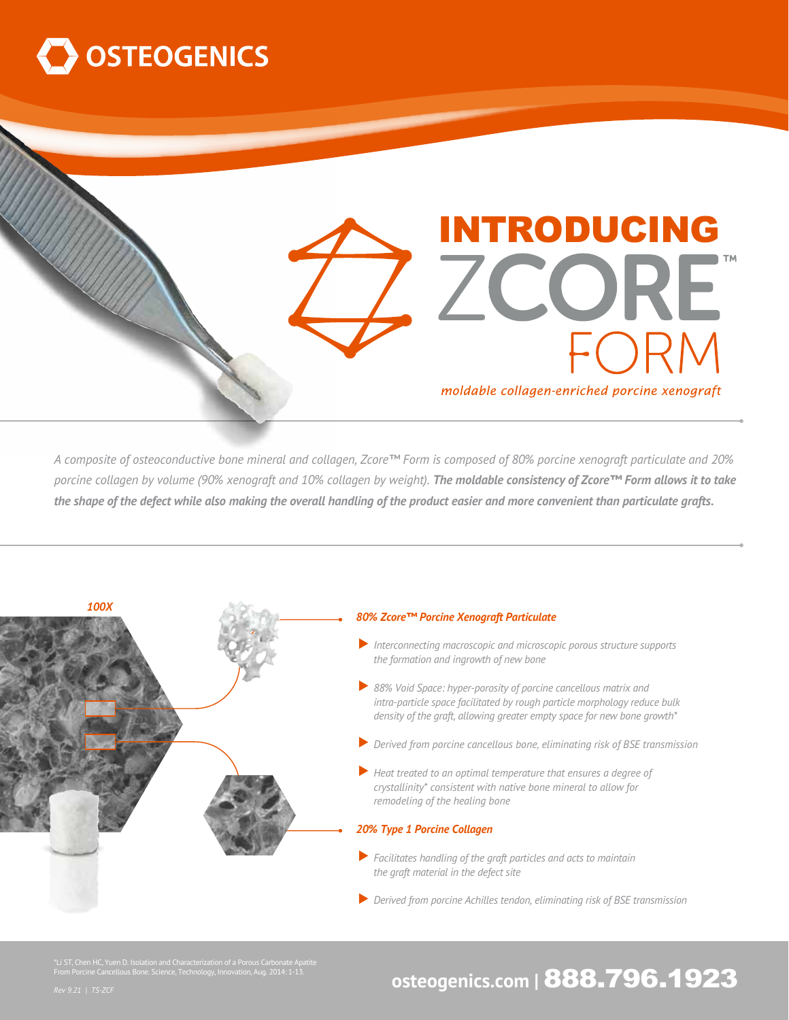

INTRODUCING ZCORE moldable collagen-enriched porcine xenograft

*A composite of osteoconductive bone mineral and collagen, Zcore™ Form is composed of 80% porcine xenograft particulate and 20% porcine collagen by volume (90% xenograft and 10% collagen by weight). The moldable consistency of Zcore™ Form allows it to take the shape of the defect while also making the overall handling of the product easier and more convenient than particulate grafts.*



#### *80% Zcore™ Porcine Xenograft Particulate*

- ▼*Interconnecting macroscopic and microscopic porous structure supports the formation and ingrowth of new bone*
- ▼*88% Void Space: hyper-porosity of porcine cancellous matrix and intra-particle space facilitated by rough particle morphology reduce bulk density of the graft, allowing greater empty space for new bone growth\**
- ▼*Derived from porcine cancellous bone, eliminating risk of BSE transmission*
- ▼*Heat treated to an optimal temperature that ensures a degree of crystallinity\* consistent with native bone mineral to allow for remodeling of the healing bone*

### *20% Type 1 Porcine Collagen*

- ▼*Facilitates handling of the graft particles and acts to maintain the graft material in the defect site*
- ▼*Derived from porcine Achilles tendon, eliminating risk of BSE transmission*

\*Li ST, Chen HC, Yuen D. Isolation and Characterization of a Porous Carbonate Apatite From Porcine Cancellous Bone. Science, Technology, Innovation, Aug. 2014: 1-13.

## *Reo*n Porcine Cancellous Bone. Science, Technology, Innovation, Aug. 2014: 1-13. **osteogenics.com | 888.796.1923**